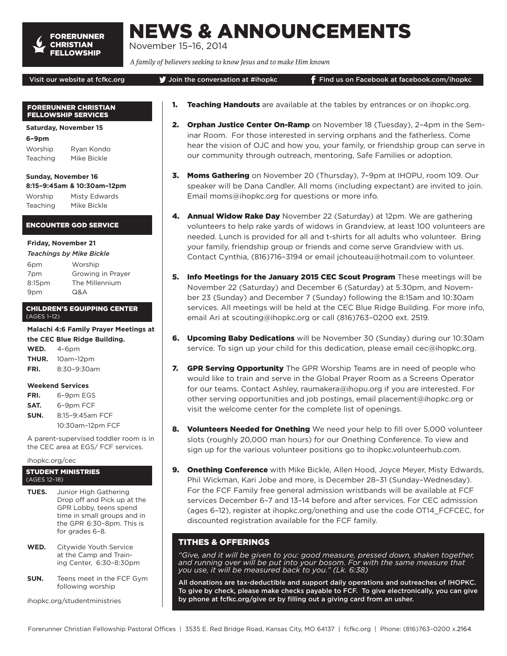

# NEWS & ANNOUNCEMENTS

November 15–16, 2014

*A family of believers seeking to know Jesus and to make Him known*

#### Visit our website at fcfkc.org  $\bigcirc$  Join the conversation at #ihopkc Find us on Facebook at facebook.com/ihopkc

#### FORERUNNER CHRISTIAN FELLOWSHIP SERVICES

**Saturday, November 15**

**6–9pm**

Worship Ryan Kondo Teaching Mike Bickle

#### **Sunday, November 16 8:15–9:45am & 10:30am–12pm**

Worship Misty Edwards Teaching Mike Bickle

# ENCOUNTER GOD SERVICE

#### **Friday, November 21**

| 6pm    | Worship           |
|--------|-------------------|
| 7pm    | Growing in Prayer |
| 8:15pm | The Millennium    |
| 9pm    | Q&A               |

### CHILDREN'S EQUIPPING CENTER (AGES 1–12)

**Malachi 4:6 Family Prayer Meetings at the CEC Blue Ridge Building. WED.** 4–6pm

| $VV = U.$ | $4 - 0111$       |
|-----------|------------------|
| THUR.     | 10am-12pm        |
| FRI.      | $8:30 - 9:30$ am |

# **Weekend Services**

- **FRI.** 6–9pm EGS
- **SAT.** 6–9pm FCF **SUN.** 8:15–9:45am FCF
- 10:30am–12pm FCF

A parent-supervised toddler room is in the CEC area at EGS/ FCF services.

ihopkc.org/cec

#### STUDENT MINISTRIES (AGES 12–18)

- **TUES.** Junior High Gathering Drop off and Pick up at the GPR Lobby, teens spend time in small groups and in the GPR 6:30–8pm. This is for grades 6–8.
- **WED.** Citywide Youth Service at the Camp and Training Center, 6:30–8:30pm
- **SUN.** Teens meet in the FCF Gym following worship

ihopkc.org/studentministries

- **1. Teaching Handouts** are available at the tables by entrances or on ihopkc.org.
- 2. Orphan Justice Center On-Ramp on November 18 (Tuesday), 2-4pm in the Seminar Room. For those interested in serving orphans and the fatherless. Come hear the vision of OJC and how you, your family, or friendship group can serve in our community through outreach, mentoring, Safe Families or adoption.
- 3. Moms Gathering on November 20 (Thursday), 7-9pm at IHOPU, room 109. Our speaker will be Dana Candler. All moms (including expectant) are invited to join. Email moms@ihopkc.org for questions or more info.
- 4. Annual Widow Rake Day November 22 (Saturday) at 12pm. We are gathering volunteers to help rake yards of widows in Grandview, at least 100 volunteers are needed. Lunch is provided for all and t-shirts for all adults who volunteer. Bring your family, friendship group or friends and come serve Grandview with us. Contact Cynthia, (816)716–3194 or email jchouteau@hotmail.com to volunteer.
- 5. Info Meetings for the January 2015 CEC Scout Program These meetings will be November 22 (Saturday) and December 6 (Saturday) at 5:30pm, and November 23 (Sunday) and December 7 (Sunday) following the 8:15am and 10:30am services. All meetings will be held at the CEC Blue Ridge Building. For more info, email Ari at scouting@ihopkc.org or call (816)763–0200 ext. 2519.
- 6. Upcoming Baby Dedications will be November 30 (Sunday) during our 10:30am service. To sign up your child for this dedication, please email cec@ihopkc.org.
- 7. GPR Serving Opportunity The GPR Worship Teams are in need of people who would like to train and serve in the Global Prayer Room as a Screens Operator for our teams. Contact Ashley, raumakera@ihopu.org if you are interested. For other serving opportunities and job postings, email placement@ihopkc.org or visit the welcome center for the complete list of openings.
- 8. Volunteers Needed for Onething We need your help to fill over 5,000 volunteer slots (roughly 20,000 man hours) for our Onething Conference. To view and sign up for the various volunteer positions go to ihopkc.volunteerhub.com.
- 9. Onething Conference with Mike Bickle, Allen Hood, Joyce Meyer, Misty Edwards, Phil Wickman, Kari Jobe and more, is December 28–31 (Sunday–Wednesday). For the FCF Family free general admission wristbands will be available at FCF services December 6–7 and 13–14 before and after services. For CEC admission (ages 6–12), register at ihopkc.org/onething and use the code OT14\_FCFCEC, for discounted registration available for the FCF family.

# TITHES & OFFERINGS

*"Give, and it will be given to you: good measure, pressed down, shaken together, and running over will be put into your bosom. For with the same measure that you use, it will be measured back to you." (Lk. 6:38)*

All donations are tax-deductible and support daily operations and outreaches of IHOPKC. To give by check, please make checks payable to FCF. To give electronically, you can give by phone at fcfkc.org/give or by filling out a giving card from an usher.